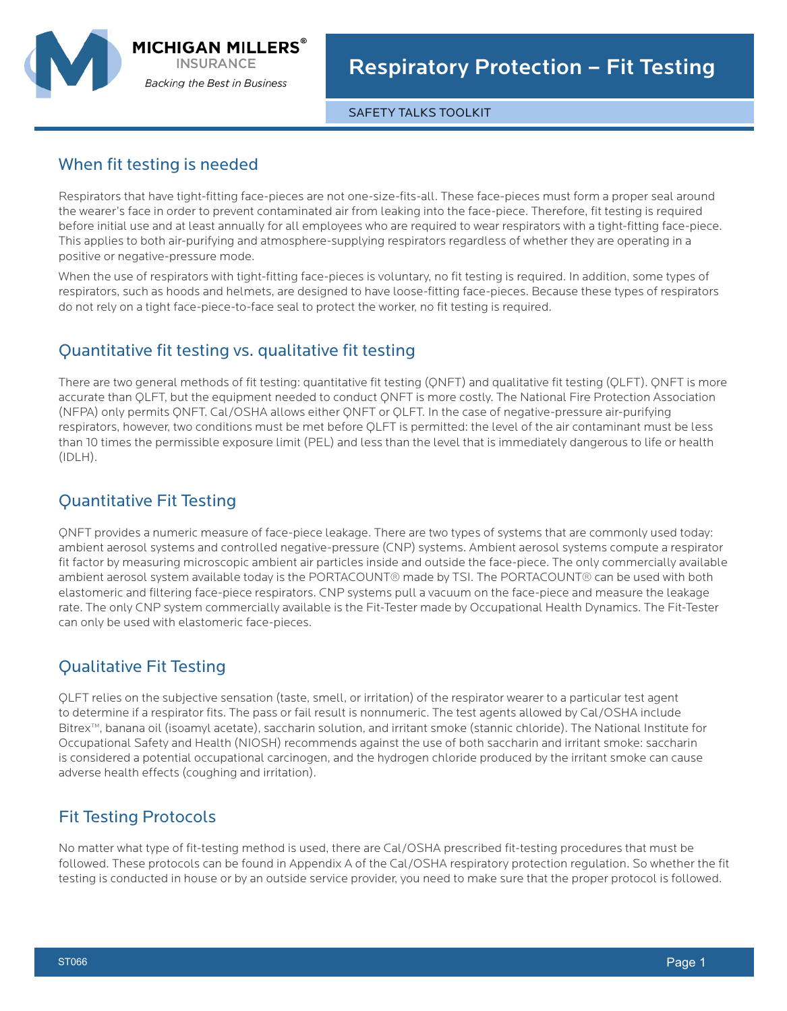

**MICHIGAN MILLERS® INSURANCE Backing the Best in Business** 

SAFETY TALKS TOOLKIT

#### When fit testing is needed

Respirators that have tight-fitting face-pieces are not one-size-fits-all. These face-pieces must form a proper seal around the wearer's face in order to prevent contaminated air from leaking into the face-piece. Therefore, fit testing is required before initial use and at least annually for all employees who are required to wear respirators with a tight-fitting face-piece. This applies to both air-purifying and atmosphere-supplying respirators regardless of whether they are operating in a positive or negative-pressure mode.

When the use of respirators with tight-fitting face-pieces is voluntary, no fit testing is required. In addition, some types of respirators, such as hoods and helmets, are designed to have loose-fitting face-pieces. Because these types of respirators do not rely on a tight face-piece-to-face seal to protect the worker, no fit testing is required.

## Quantitative fit testing vs. qualitative fit testing

There are two general methods of fit testing: quantitative fit testing (QNFT) and qualitative fit testing (QLFT). QNFT is more accurate than QLFT, but the equipment needed to conduct QNFT is more costly. The National Fire Protection Association (NFPA) only permits QNFT. Cal/OSHA allows either QNFT or QLFT. In the case of negative-pressure air-purifying respirators, however, two conditions must be met before QLFT is permitted: the level of the air contaminant must be less than 10 times the permissible exposure limit (PEL) and less than the level that is immediately dangerous to life or health (IDLH).

## Quantitative Fit Testing

QNFT provides a numeric measure of face-piece leakage. There are two types of systems that are commonly used today: ambient aerosol systems and controlled negative-pressure (CNP) systems. Ambient aerosol systems compute a respirator fit factor by measuring microscopic ambient air particles inside and outside the face-piece. The only commercially available ambient aerosol system available today is the PORTACOUNT® made by TSI. The PORTACOUNT® can be used with both elastomeric and filtering face-piece respirators. CNP systems pull a vacuum on the face-piece and measure the leakage rate. The only CNP system commercially available is the Fit-Tester made by Occupational Health Dynamics. The Fit-Tester can only be used with elastomeric face-pieces.

# Qualitative Fit Testing

QLFT relies on the subjective sensation (taste, smell, or irritation) of the respirator wearer to a particular test agent to determine if a respirator fits. The pass or fail result is nonnumeric. The test agents allowed by Cal/OSHA include Bitrex™, banana oil (isoamyl acetate), saccharin solution, and irritant smoke (stannic chloride). The National Institute for Occupational Safety and Health (NIOSH) recommends against the use of both saccharin and irritant smoke: saccharin is considered a potential occupational carcinogen, and the hydrogen chloride produced by the irritant smoke can cause adverse health effects (coughing and irritation).

### Fit Testing Protocols

No matter what type of fit-testing method is used, there are Cal/OSHA prescribed fit-testing procedures that must be followed. These protocols can be found in Appendix A of the Cal/OSHA respiratory protection regulation. So whether the fit testing is conducted in house or by an outside service provider, you need to make sure that the proper protocol is followed.